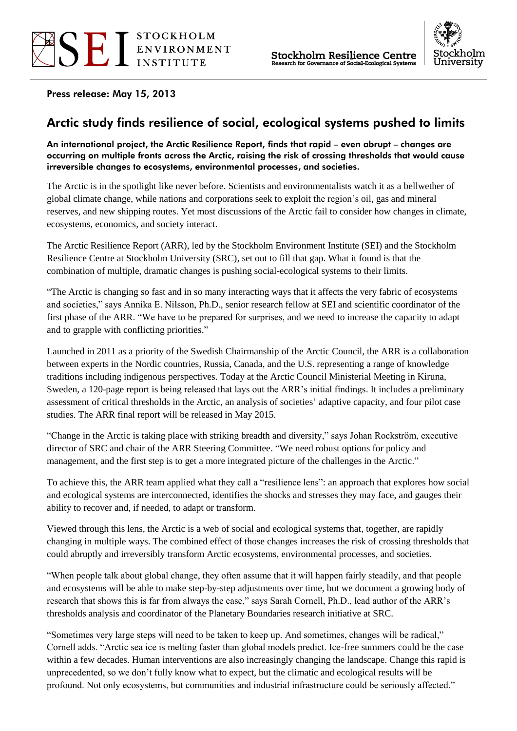



Press release: May 15, 2013

# Arctic study finds resilience of social, ecological systems pushed to limits

#### An international project, the Arctic Resilience Report, finds that rapid – even abrupt – changes are occurring on multiple fronts across the Arctic, raising the risk of crossing thresholds that would cause irreversible changes to ecosystems, environmental processes, and societies.

The Arctic is in the spotlight like never before. Scientists and environmentalists watch it as a bellwether of global climate change, while nations and corporations seek to exploit the region's oil, gas and mineral reserves, and new shipping routes. Yet most discussions of the Arctic fail to consider how changes in climate, ecosystems, economics, and society interact.

The Arctic Resilience Report (ARR), led by the Stockholm Environment Institute (SEI) and the Stockholm Resilience Centre at Stockholm University (SRC), set out to fill that gap. What it found is that the combination of multiple, dramatic changes is pushing social-ecological systems to their limits.

"The Arctic is changing so fast and in so many interacting ways that it affects the very fabric of ecosystems and societies," says Annika E. Nilsson, Ph.D., senior research fellow at SEI and scientific coordinator of the first phase of the ARR. "We have to be prepared for surprises, and we need to increase the capacity to adapt and to grapple with conflicting priorities."

Launched in 2011 as a priority of the Swedish Chairmanship of the Arctic Council, the ARR is a collaboration between experts in the Nordic countries, Russia, Canada, and the U.S. representing a range of knowledge traditions including indigenous perspectives. Today at the Arctic Council Ministerial Meeting in Kiruna, Sweden, a 120-page report is being released that lays out the ARR's initial findings. It includes a preliminary assessment of critical thresholds in the Arctic, an analysis of societies' adaptive capacity, and four pilot case studies. The ARR final report will be released in May 2015.

"Change in the Arctic is taking place with striking breadth and diversity," says Johan Rockström, executive director of SRC and chair of the ARR Steering Committee. "We need robust options for policy and management, and the first step is to get a more integrated picture of the challenges in the Arctic."

To achieve this, the ARR team applied what they call a "resilience lens": an approach that explores how social and ecological systems are interconnected, identifies the shocks and stresses they may face, and gauges their ability to recover and, if needed, to adapt or transform.

Viewed through this lens, the Arctic is a web of social and ecological systems that, together, are rapidly changing in multiple ways. The combined effect of those changes increases the risk of crossing thresholds that could abruptly and irreversibly transform Arctic ecosystems, environmental processes, and societies.

"When people talk about global change, they often assume that it will happen fairly steadily, and that people and ecosystems will be able to make step-by-step adjustments over time, but we document a growing body of research that shows this is far from always the case," says Sarah Cornell, Ph.D., lead author of the ARR's thresholds analysis and coordinator of the Planetary Boundaries research initiative at SRC.

"Sometimes very large steps will need to be taken to keep up. And sometimes, changes will be radical," Cornell adds. "Arctic sea ice is melting faster than global models predict. Ice-free summers could be the case within a few decades. Human interventions are also increasingly changing the landscape. Change this rapid is unprecedented, so we don't fully know what to expect, but the climatic and ecological results will be profound. Not only ecosystems, but communities and industrial infrastructure could be seriously affected."